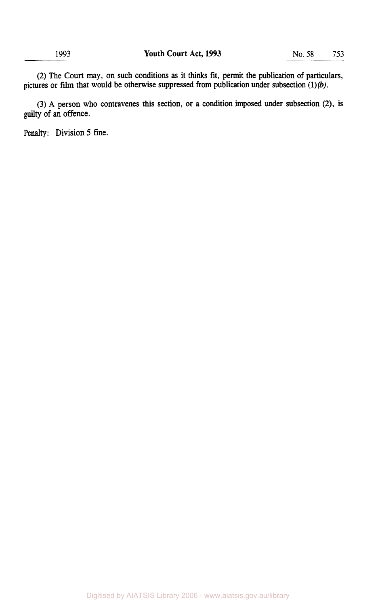**(2) The Court may,** on **such conditions as it thinks fit, permit the publication of particulars,**  pictures or film that would be otherwise suppressed from publication under subsection (1)(b).

**(3) A person who contravenes this section, or a condition imposed under subsection (2), is guilty of an offence.** 

**Penalty: Division 5 fine.**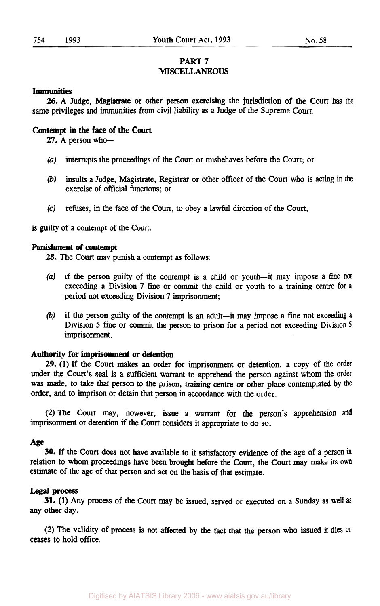# **PART** *7*  **MISCELLANEOUS**

#### **Immunities**

same privileges and immunities from civil liability **as** a Judge of the Supreme **Court.**  *26.* **A** Judge, Magistrate or other person exercising the jurisdiction of the **Court has** the

### **Contempt in the face of the Court**

27. A person who-

- *(a)* interrupts the proceedings of the **Court** or misbehaves before the **Court;** or
- (b) **insults** a Judge, Magistrate, Registrar or other officer of the **Court** who is acting in the exercise of official functions; or
- **(c)** refuses, in the face of the **Court,** to obey a lawful direction of the **Court,**

is guilty of a contempt of the **Court.** 

#### **Punishment of contempt**

*28.* The **Court** may punish a contempt **as** follows:

- *(a)* if the person guilty of the contempt is a child or youth-it may impose a fine not exceeding a Division **7** fine or commit the child or youth to a training centre for a period not exceeding Division **7** imprisonment;
- (b) if the person guilty of the contempt is an adult-it may impose a fine not exceeding **<sup>a</sup>** Division *5* fine or commit the person to prison for a period not exceeding Division *<sup>5</sup>* imprisonment.

# **Authority for imprisonment or detention**

*29.* **(1)** If the **Court makes** an order for imprisonment or detention, a copy of the order under the **Court's seal** is **a** sufficient warrant to apprehend the person against whom the order was made, to take *that* person to the prison, training centre or other place contemplated **by** the order, and to imprison or detain that person in accordance with the order.

(2) The **Court** may, however, issue a warrant for the person's apprehension **and**  imprisonment or detention if the **Court** considers it appropriate to do so.

#### *Age*

30. If the **Court** does not have available to it satisfactory evidence of the age of a person in relation to whom proceedings have been brought before the **Court,** the **Court** may make its **own**  estimate of the age of that person and act on the basis of that estimate.

#### Legal process

any other day. **31. (1)** Any process of the **Court** may **be** issued, served or executed on a Sunday **as** well

(2) The validity of process is not affected by the fact that the person who issued it **dies** or ceases to hold **office.**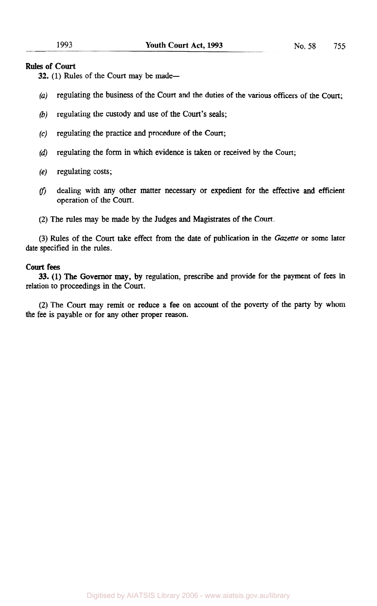# **Rules of Court**

32. (1) Rules of the Court may be made-

- *(a)* regulating the business of the Court and the duties of the various officers of the Court;
- *(b)* regulating the custody and use of the Court's seals;
- *(c)* regulating the practice and procedure of the Court;
- *(d)* regulating the form in which evidence is taken or received by the Court;
- **(e)** regulating costs;
- (f) dealing with any other matter necessary or expedient for the effective and efficient operation of the Court.
- (2) The rules may be made by the Judges and Magistrates of the Court.

(3) Rules of the Court take effect from the date of publication in the *Gazette* or some later date specified in the rules.

# **court** fees

relation to proceedings in the Court. 33. (1) The Governor may, by regulation, prescribe and provide for the payment of fees in

(2) The Court may remit or reduce a fee on account of the poverty of the party by whom the fee is payable or for any other proper reason.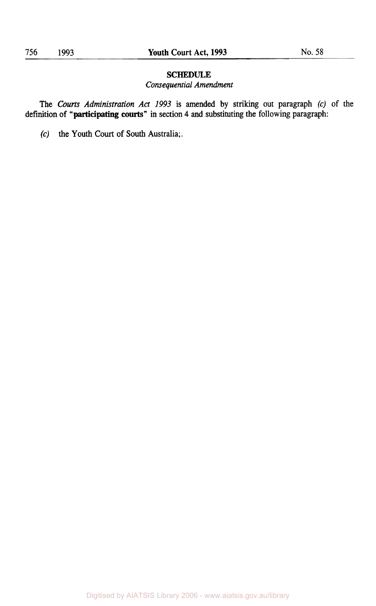# **SCHEDULE**

# *Consequential Amendment*

**The** *Courts Administration Act 1993* **is amended by striking out paragraph** *(c)* of *the*  **definition of "participating courts" in section 4 and substituting the following paragraph:** 

*(c)* **the Youth** Court **of South Australia;.**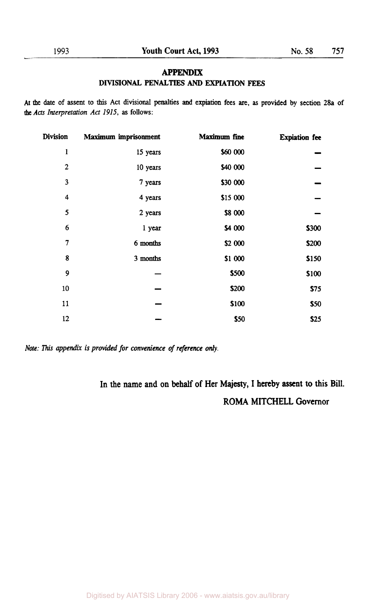# **APPENDIX DIVISIONAL PENALTIES** AND **EXPIATION FEES**

**At the date of assent to** this **Act divisional penalties and expiation fees are, as provided by section 28a of the** *Acts Interpretation Act 1915,* **as follows:** 

| <b>Division</b> | Maximum imprisonment | Maximum fine | <b>Expiation</b> fee |
|-----------------|----------------------|--------------|----------------------|
| $\mathbf{1}$    | 15 years             | \$60 000     |                      |
| $\overline{2}$  | 10 years             | \$40 000     |                      |
| 3               | 7 years              | \$30 000     |                      |
| 4               | 4 years              | \$15 000     |                      |
| 5               | 2 years              | \$8 000      |                      |
| 6               | 1 year               | \$4 000      | <b>\$300</b>         |
| $\overline{7}$  | 6 months             | \$2 000      | \$200                |
| 8               | 3 months             | \$1 000      | \$150                |
| 9               |                      | \$500        | \$100                |
| 10              |                      | \$200        | \$75                 |
| 11              |                      | \$100        | \$50                 |
| 12              |                      | \$50         | \$25                 |

*Note: This appendix is provided for convenience* **of** *reference only.* 

**In the name and on behalf of Her Majesty, I hereby assent to this Bill. ROMA MITCHELL Governor**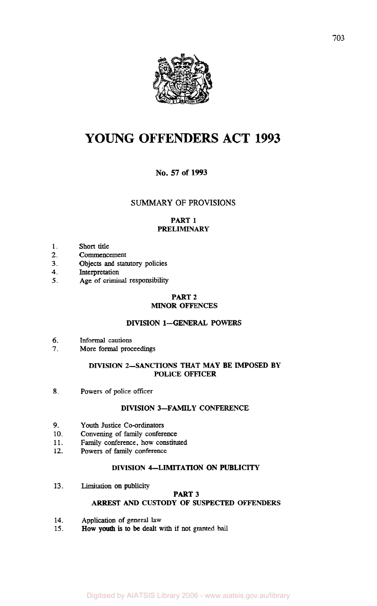

# **YOUNG OFFENDERS ACT 1993**

# **No. 57 of 1993**

# **SUMMARY** OF **PROVISIONS**

# PART 1 PRELIMINARY

- 1. Short title
- *2.*  Commencement
- **3.**  Objects and **statutory** policies
- **4.**  Interpretation
- *5.*  Age of criminal responsibility

#### PART 2 MINOR OFFENCES

# DIVISION 1-GENERAL POWERS

- *6.*  Informal cautions
- 7. More formal proceedings

### DIVISION 2-SANCTIONS THAT MAY **BE** IMPOSED **BY**  POLICE OFFICER

**8.**  Powers of police officer

# DIVISION 3-FAMILY CONFERENCE

- *9.*  Youth Justice Co-ordinators
- **10.**  Convening of family conference
- **11.**  Family conference, how constituted
- **12.**  Powers of family conference

### DIVISION 4-LIMITATION ON PUBLICITY

**13.**  Limitation on publicity

# PART 3 *ARREST* AND CUSTODY OF SUSPECTED OFFENDERS

- **14.** Application of general law
- **15.** How **youth** is **to** be dealt with if not granted bail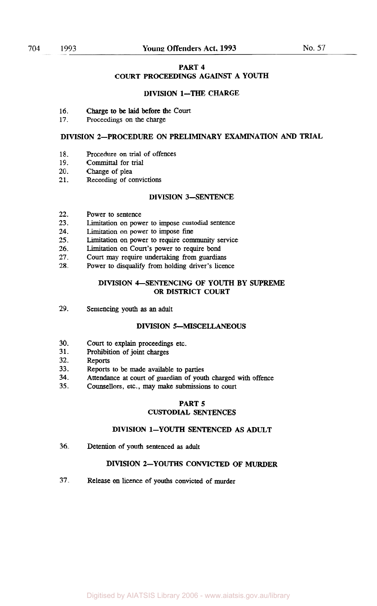#### **PART 4**

# **COURT PROCEEDINGS AGAINST A YOUTH**

#### **DIVISION 1-THE CHARGE**

- **16.**  Charge to be laid before the Court
- **17.** Proceedings on the charge

### **DIVISION 2-PROCEDURE ON PRELIMINARY EXAMINATION** *AND* **TRIAL**

- **18.**  Procedure on trial of offences
- **19.**  Committal for trial
- **20.**  Change of plea
- **21.**  Recording of convictions

#### **DIVISION 3-SENTENCE**

- **22.**  Power to sentence
- **23.**  Limitation on power to impose custodial sentence
- **24.**  Limitation **on** power to impose fine
- **25.**  Limitation **on** power to require community service
- **26.**  Limitation **on** Court's power to require bond
- **27.**  Court may require undertaking **from guardians**
- **28.**  Power to **disqualify from** holding driver's licence

#### **DIVISION 4-SENTENCING OF YOUTH BY SUPREME OR DISTRICT COURT**

**29.**  Sentencing youth **as an** adult

#### **DIVISION S-MISCELLANEOUS**

- **30. Court** to explain proceedings etc.
- **31.**  Prohibition of joint charges
- **32.**  Reports
- **33.**  Reports to be made available to parties
- **34.**  Attendance at court of guardian of youth charged with offence
- **35.**  Counsellors, etc., may make submissions to court

#### **PART S**

### **CUSTODIAL SENTENCES**

# **DIVISION 1-YOUTH SENTENCED AS ADULT**

**36.**  Detention of youth sentenced **as** adult

# **DIVISION 2-YOUTHS CONVICTED OF MURDER**

**37.**  Release **on** licence of youths convicted of murder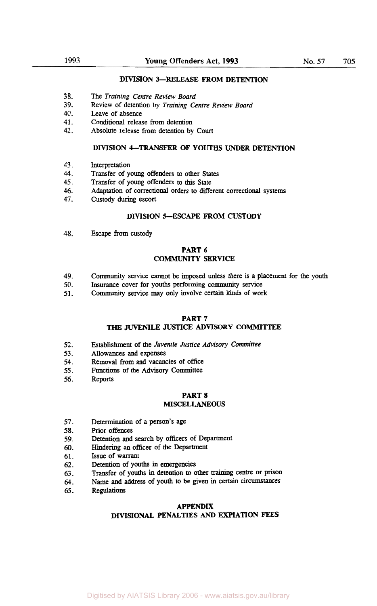#### **DIVISION 3-RELEASE FROM DETENTION**

- **38.**  The *Training Centre Review Board*
- **39.**  Review of detention by *Training Centre Review Board*
- **40.**  Leave of absence
- **41.**  Conditional release from detention
- **42.**  Absolute release from detention by Court

#### **DIVISION 4-TRANSFER OF YOUTHS UNDER DETENTION**

- **43.**  Interpretation
- **44.**  Transfer of young offenders to other States
- **45.**  Transfer of young offenders to **this** State
- **46.**  Adaptation of correctional orders to different correctional systems
- **47.**  Custody during escort

# **DIVISION S-ESCAPE FROM CUSTODY**

**48.**  Escape from custody

#### **PART 6 COMMUNITY SERVICE**

- **49.**  Community service cannot be imposed unless there is a placement for the youth
- **50.**  Insurance cover for youths performing community service
- **51.**  Community service may **only** involve certain **kinds** of work

#### **PART 7**

#### **THE JUVENILE JUSTICE ADVISORY COMMITTEE**

- **52.**  Establishment of the *Juvenile Justice* Advisory *Committee*
- **53.**  Allowances **and** expenses
- **54.**  Removal **from and** vacancies of office
- **55.**  Functions of the Advisory Committee
- **56.**  Reports

# **PART 8**

#### **MISCELLANEOUS**

- **57.**  Determination of a person's age
- **58.**  Prior offences
- **59.**  Detention and search by officers of Department
- *60.*  Hindering an officer of the Department
- **61. Issue** of warrant
- **62.**  Detention of youths in emergencies
- **63.**  Transfer of youths in detention to other **training** centre or prison
- **64.**  Name and address of youth to **be** given in certain circumstances
- **65.**  Regulations

#### **APPENDIX**

## **DIVISIONAL PENALTIES** *AND* **EXPIATION FEES**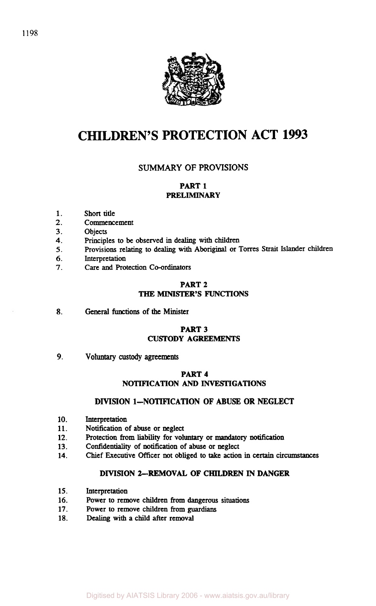

# **CHILDREN'S PROTECTION ACT 1993**

# **SUMMARY OF PROVISIONS**

# **PART 1 PRELIMINARY**

- **1.**  Short title
- **2.**  Commencement
- **3. Objects**
- **4.**  Principles to **be** observed in dealing with children
- *5.*  Provisions relating to dealing with **Aboriginal** or Torres **Strait** Islander children
- *6.*  Interpretation
- **7.**  Care **and** Protection Co-ordinators

# **PART 2 THE MINISTER'S FUNCTIONS**

**8.**  General functions of the **Minister** 

# **PART 3 CUSTODY AGREEMENTS**

**9. voluntary custody agreements** 

# **PART 4 NOTIFICATION** *AND* **INVESTlGATIONS**

# **DIVISION 1-NOTIFICATION OF ABUSE OR NEGLECT**

- **10.**  Interpretation
- **11.**  Notification of abuse or neglect
- **12.**  Protection from liability for voluntary or mandatory notification
- **13.**  Confidentiality of notification of abuse or neglect
- **14.**  Chief Executive Officer not obliged to **take** action in *Certain* circumstances

# **DIVISION 2-REMOVAL OF CHILDREN IN DANGER**

- **15.**  Interpretation
- **16.**  Power to remove children **from** dangerous situations
- **17.**  Power to remove children **from guardians**
- **18.**  Dealing with a child after removal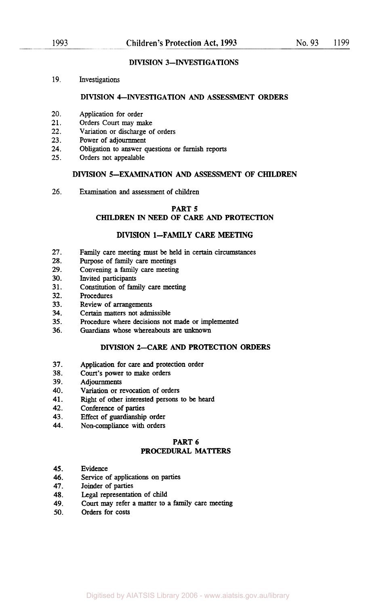# **DIVISION 3--INVESTIGATIONS**

**19.**  Investigations

#### **DIVISION 4-INVESTIGATION** *AND* **ASSESSMENT ORDERS**

- **20.**  Application for order
- **21.**  Orders Court may make
- **22.**  Variation or discharge of orders
- **23.**  Power of adjournment
- **24.**  Obligation to answer questions or furnish reports
- **25.**  Orders not appealable

#### **DIVISION 5-EXAMINATION** *AND* **ASSESSMENT OF CHILDREN**

*26.*  Examination and assessment of children

#### **PART 5**

#### **CHILDREN IN NEED OF** *CARE AND* **PROTECTION**

#### **DIVISION 1-FAMILY CARE MEETING**

- **27.**  Family care meeting must be held in certain circumstances
- **28.**  Purpose of family care meetings
- **29.**  Convening a family care meeting
- **30.**  Invited participants
- **31.**  Constitution of family care meeting
- **32.**  Procedures
- **33.**  Review of arrangements
- **34.**  Certain matters not admissible
- **35.**  Procedure where decisions not made or implemented
- **36. Guardians** whose whereabouts are unknown

#### **DIVISION 2-CARE** AND **PROTECTION ORDERS**

- **37.**  Application for care and protection order
- **38. Court's** power to make orders
- **39.**  Adjournments
- **40.**  Variation or revocation of orders
- **41.**  Right of other interested persons to be heard
- **42.**  Conference of parties
- **43.**  Effect of guardianship order
- **44.**  Non-compliance with orders

# **PART 6**

# **PROCEDURAL MATTERS**

- **45.**  Evidence
- *46.*  Service of applications **on** parties
- **47.**  Joinder of parties
- **48.**  Legal representation of child
- **49. Court** may refer a matter to a family care meeting
- **50.**  Orders for costs